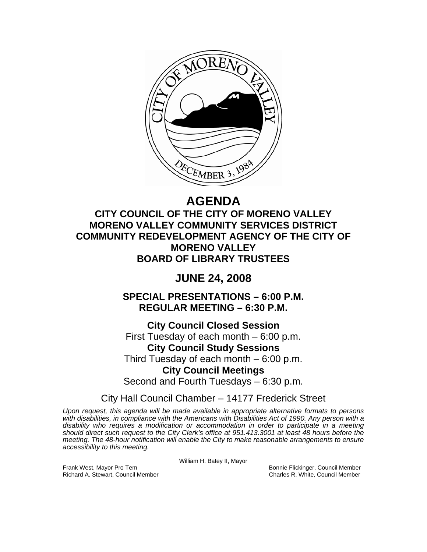

# **AGENDA**

**CITY COUNCIL OF THE CITY OF MORENO VALLEY MORENO VALLEY COMMUNITY SERVICES DISTRICT COMMUNITY REDEVELOPMENT AGENCY OF THE CITY OF MORENO VALLEY BOARD OF LIBRARY TRUSTEES** 

## **JUNE 24, 2008**

**SPECIAL PRESENTATIONS – 6:00 P.M. REGULAR MEETING – 6:30 P.M.** 

**City Council Closed Session**  First Tuesday of each month – 6:00 p.m. **City Council Study Sessions**  Third Tuesday of each month – 6:00 p.m. **City Council Meetings**  Second and Fourth Tuesdays – 6:30 p.m.

City Hall Council Chamber – 14177 Frederick Street

*Upon request, this agenda will be made available in appropriate alternative formats to persons with disabilities, in compliance with the Americans with Disabilities Act of 1990. Any person with a disability who requires a modification or accommodation in order to participate in a meeting should direct such request to the City Clerk's office at 951.413.3001 at least 48 hours before the meeting. The 48-hour notification will enable the City to make reasonable arrangements to ensure accessibility to this meeting.* 

William H. Batey II, Mayor

Frank West, Mayor Pro Tem Bonnie Flickinger, Council Member Richard A. Stewart, Council Member Charles R. White, Council Member Charles R. White, Council Member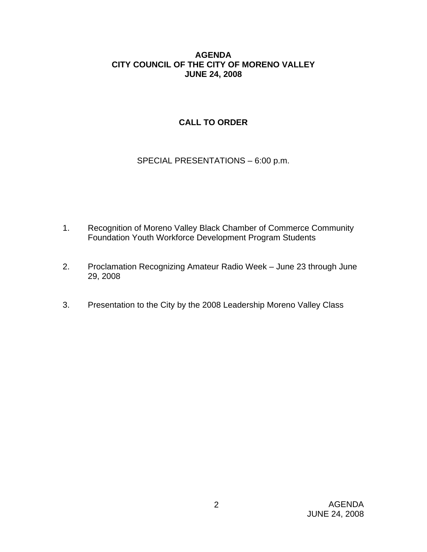### **AGENDA CITY COUNCIL OF THE CITY OF MORENO VALLEY JUNE 24, 2008**

### **CALL TO ORDER**

SPECIAL PRESENTATIONS – 6:00 p.m.

- 1. Recognition of Moreno Valley Black Chamber of Commerce Community Foundation Youth Workforce Development Program Students
- 2. Proclamation Recognizing Amateur Radio Week June 23 through June 29, 2008
- 3. Presentation to the City by the 2008 Leadership Moreno Valley Class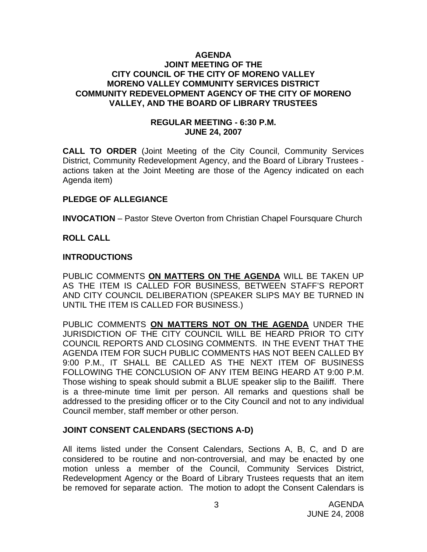#### **AGENDA JOINT MEETING OF THE CITY COUNCIL OF THE CITY OF MORENO VALLEY MORENO VALLEY COMMUNITY SERVICES DISTRICT COMMUNITY REDEVELOPMENT AGENCY OF THE CITY OF MORENO VALLEY, AND THE BOARD OF LIBRARY TRUSTEES**

#### **REGULAR MEETING - 6:30 P.M. JUNE 24, 2007**

**CALL TO ORDER** (Joint Meeting of the City Council, Community Services District, Community Redevelopment Agency, and the Board of Library Trustees actions taken at the Joint Meeting are those of the Agency indicated on each Agenda item)

### **PLEDGE OF ALLEGIANCE**

**INVOCATION** – Pastor Steve Overton from Christian Chapel Foursquare Church

### **ROLL CALL**

### **INTRODUCTIONS**

PUBLIC COMMENTS **ON MATTERS ON THE AGENDA** WILL BE TAKEN UP AS THE ITEM IS CALLED FOR BUSINESS, BETWEEN STAFF'S REPORT AND CITY COUNCIL DELIBERATION (SPEAKER SLIPS MAY BE TURNED IN UNTIL THE ITEM IS CALLED FOR BUSINESS.)

PUBLIC COMMENTS **ON MATTERS NOT ON THE AGENDA** UNDER THE JURISDICTION OF THE CITY COUNCIL WILL BE HEARD PRIOR TO CITY COUNCIL REPORTS AND CLOSING COMMENTS. IN THE EVENT THAT THE AGENDA ITEM FOR SUCH PUBLIC COMMENTS HAS NOT BEEN CALLED BY 9:00 P.M., IT SHALL BE CALLED AS THE NEXT ITEM OF BUSINESS FOLLOWING THE CONCLUSION OF ANY ITEM BEING HEARD AT 9:00 P.M. Those wishing to speak should submit a BLUE speaker slip to the Bailiff. There is a three-minute time limit per person. All remarks and questions shall be addressed to the presiding officer or to the City Council and not to any individual Council member, staff member or other person.

### **JOINT CONSENT CALENDARS (SECTIONS A-D)**

All items listed under the Consent Calendars, Sections A, B, C, and D are considered to be routine and non-controversial, and may be enacted by one motion unless a member of the Council, Community Services District, Redevelopment Agency or the Board of Library Trustees requests that an item be removed for separate action. The motion to adopt the Consent Calendars is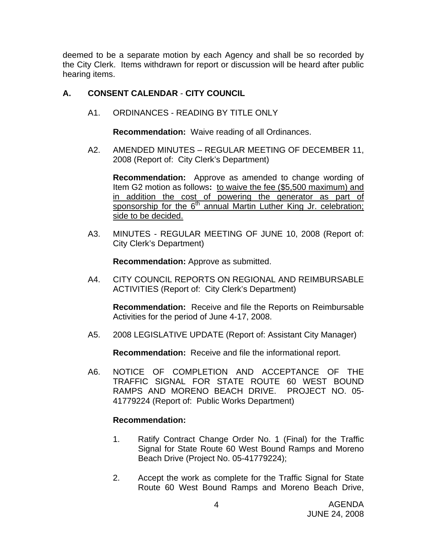deemed to be a separate motion by each Agency and shall be so recorded by the City Clerk. Items withdrawn for report or discussion will be heard after public hearing items.

### **A. CONSENT CALENDAR** - **CITY COUNCIL**

A1. ORDINANCES - READING BY TITLE ONLY

**Recommendation:** Waive reading of all Ordinances.

A2. AMENDED MINUTES – REGULAR MEETING OF DECEMBER 11, 2008 (Report of: City Clerk's Department)

**Recommendation:** Approve as amended to change wording of Item G2 motion as follows**:** to waive the fee (\$5,500 maximum) and in addition the cost of powering the generator as part of sponsorship for the  $6<sup>th</sup>$  annual Martin Luther King Jr. celebration; side to be decided.

A3. MINUTES - REGULAR MEETING OF JUNE 10, 2008 (Report of: City Clerk's Department)

**Recommendation:** Approve as submitted.

A4. CITY COUNCIL REPORTS ON REGIONAL AND REIMBURSABLE ACTIVITIES (Report of: City Clerk's Department)

**Recommendation:** Receive and file the Reports on Reimbursable Activities for the period of June 4-17, 2008.

A5. 2008 LEGISLATIVE UPDATE (Report of: Assistant City Manager)

**Recommendation:** Receive and file the informational report.

A6. NOTICE OF COMPLETION AND ACCEPTANCE OF THE TRAFFIC SIGNAL FOR STATE ROUTE 60 WEST BOUND RAMPS AND MORENO BEACH DRIVE. PROJECT NO. 05- 41779224 (Report of: Public Works Department)

- 1. Ratify Contract Change Order No. 1 (Final) for the Traffic Signal for State Route 60 West Bound Ramps and Moreno Beach Drive (Project No. 05-41779224);
- 2. Accept the work as complete for the Traffic Signal for State Route 60 West Bound Ramps and Moreno Beach Drive,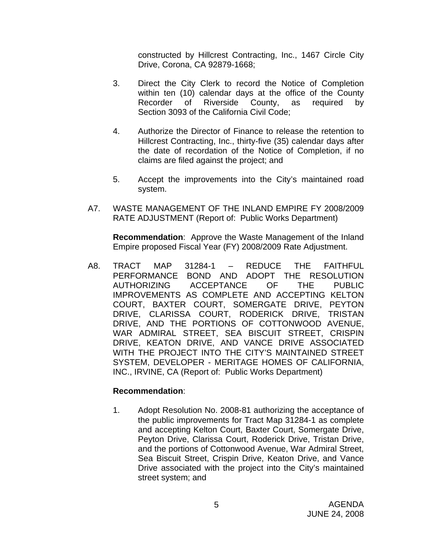constructed by Hillcrest Contracting, Inc., 1467 Circle City Drive, Corona, CA 92879-1668;

- 3. Direct the City Clerk to record the Notice of Completion within ten (10) calendar days at the office of the County Recorder of Riverside County, as required by Section 3093 of the California Civil Code;
- 4. Authorize the Director of Finance to release the retention to Hillcrest Contracting, Inc., thirty-five (35) calendar days after the date of recordation of the Notice of Completion, if no claims are filed against the project; and
- 5. Accept the improvements into the City's maintained road system.
- A7. WASTE MANAGEMENT OF THE INLAND EMPIRE FY 2008/2009 RATE ADJUSTMENT (Report of: Public Works Department)

**Recommendation**: Approve the Waste Management of the Inland Empire proposed Fiscal Year (FY) 2008/2009 Rate Adjustment.

A8. TRACT MAP 31284-1 – REDUCE THE FAITHFUL PERFORMANCE BOND AND ADOPT THE RESOLUTION AUTHORIZING ACCEPTANCE OF THE PUBLIC IMPROVEMENTS AS COMPLETE AND ACCEPTING KELTON COURT, BAXTER COURT, SOMERGATE DRIVE, PEYTON DRIVE, CLARISSA COURT, RODERICK DRIVE, TRISTAN DRIVE, AND THE PORTIONS OF COTTONWOOD AVENUE, WAR ADMIRAL STREET, SEA BISCUIT STREET, CRISPIN DRIVE, KEATON DRIVE, AND VANCE DRIVE ASSOCIATED WITH THE PROJECT INTO THE CITY'S MAINTAINED STREET SYSTEM, DEVELOPER - MERITAGE HOMES OF CALIFORNIA, INC., IRVINE, CA (Report of: Public Works Department)

### **Recommendation**:

1. Adopt Resolution No. 2008-81 authorizing the acceptance of the public improvements for Tract Map 31284-1 as complete and accepting Kelton Court, Baxter Court, Somergate Drive, Peyton Drive, Clarissa Court, Roderick Drive, Tristan Drive, and the portions of Cottonwood Avenue, War Admiral Street, Sea Biscuit Street, Crispin Drive, Keaton Drive, and Vance Drive associated with the project into the City's maintained street system; and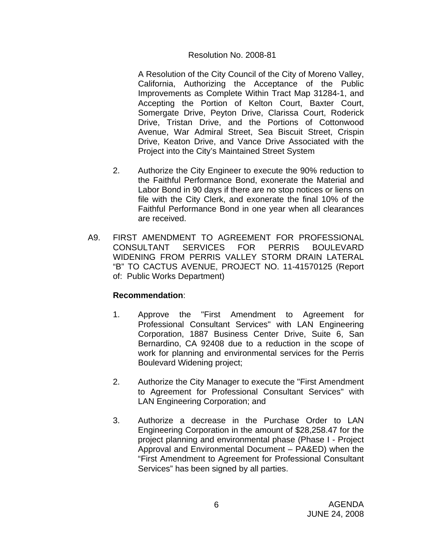### Resolution No. 2008-81

 A Resolution of the City Council of the City of Moreno Valley, California, Authorizing the Acceptance of the Public Improvements as Complete Within Tract Map 31284-1, and Accepting the Portion of Kelton Court, Baxter Court, Somergate Drive, Peyton Drive, Clarissa Court, Roderick Drive, Tristan Drive, and the Portions of Cottonwood Avenue, War Admiral Street, Sea Biscuit Street, Crispin Drive, Keaton Drive, and Vance Drive Associated with the Project into the City's Maintained Street System

- 2. Authorize the City Engineer to execute the 90% reduction to the Faithful Performance Bond, exonerate the Material and Labor Bond in 90 days if there are no stop notices or liens on file with the City Clerk, and exonerate the final 10% of the Faithful Performance Bond in one year when all clearances are received.
- A9. FIRST AMENDMENT TO AGREEMENT FOR PROFESSIONAL CONSULTANT SERVICES FOR PERRIS BOULEVARD WIDENING FROM PERRIS VALLEY STORM DRAIN LATERAL "B" TO CACTUS AVENUE, PROJECT NO. 11-41570125 (Report of: Public Works Department)

- 1. Approve the "First Amendment to Agreement for Professional Consultant Services" with LAN Engineering Corporation, 1887 Business Center Drive, Suite 6, San Bernardino, CA 92408 due to a reduction in the scope of work for planning and environmental services for the Perris Boulevard Widening project;
- 2. Authorize the City Manager to execute the "First Amendment to Agreement for Professional Consultant Services" with LAN Engineering Corporation; and
- 3. Authorize a decrease in the Purchase Order to LAN Engineering Corporation in the amount of \$28,258.47 for the project planning and environmental phase (Phase I - Project Approval and Environmental Document – PA&ED) when the "First Amendment to Agreement for Professional Consultant Services" has been signed by all parties.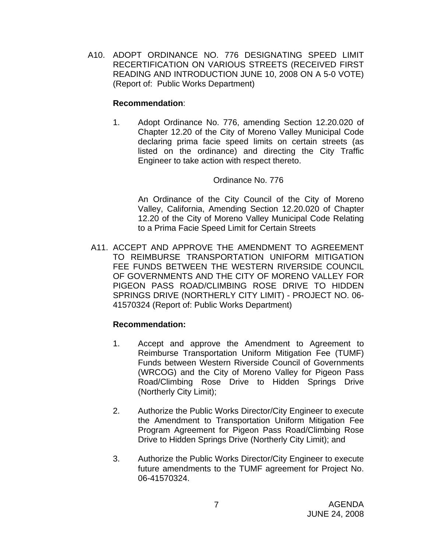A10. ADOPT ORDINANCE NO. 776 DESIGNATING SPEED LIMIT RECERTIFICATION ON VARIOUS STREETS (RECEIVED FIRST READING AND INTRODUCTION JUNE 10, 2008 ON A 5-0 VOTE) (Report of: Public Works Department)

### **Recommendation**:

1. Adopt Ordinance No. 776, amending Section 12.20.020 of Chapter 12.20 of the City of Moreno Valley Municipal Code declaring prima facie speed limits on certain streets (as listed on the ordinance) and directing the City Traffic Engineer to take action with respect thereto.

### Ordinance No. 776

 An Ordinance of the City Council of the City of Moreno Valley, California, Amending Section 12.20.020 of Chapter 12.20 of the City of Moreno Valley Municipal Code Relating to a Prima Facie Speed Limit for Certain Streets

A11. ACCEPT AND APPROVE THE AMENDMENT TO AGREEMENT TO REIMBURSE TRANSPORTATION UNIFORM MITIGATION FEE FUNDS BETWEEN THE WESTERN RIVERSIDE COUNCIL OF GOVERNMENTS AND THE CITY OF MORENO VALLEY FOR PIGEON PASS ROAD/CLIMBING ROSE DRIVE TO HIDDEN SPRINGS DRIVE (NORTHERLY CITY LIMIT) - PROJECT NO. 06- 41570324 (Report of: Public Works Department)

- 1. Accept and approve the Amendment to Agreement to Reimburse Transportation Uniform Mitigation Fee (TUMF) Funds between Western Riverside Council of Governments (WRCOG) and the City of Moreno Valley for Pigeon Pass Road/Climbing Rose Drive to Hidden Springs Drive (Northerly City Limit);
- 2. Authorize the Public Works Director/City Engineer to execute the Amendment to Transportation Uniform Mitigation Fee Program Agreement for Pigeon Pass Road/Climbing Rose Drive to Hidden Springs Drive (Northerly City Limit); and
- 3. Authorize the Public Works Director/City Engineer to execute future amendments to the TUMF agreement for Project No. 06-41570324.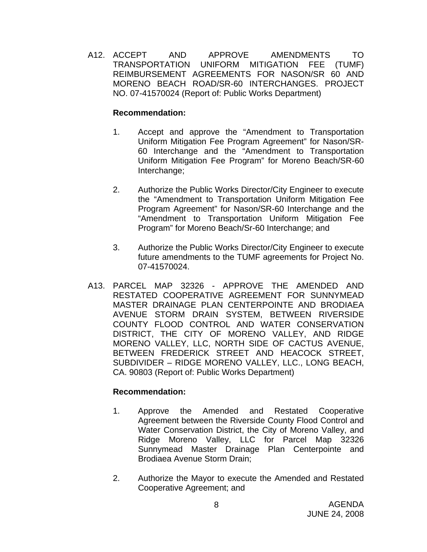A12. ACCEPT AND APPROVE AMENDMENTS TO TRANSPORTATION UNIFORM MITIGATION FEE (TUMF) REIMBURSEMENT AGREEMENTS FOR NASON/SR 60 AND MORENO BEACH ROAD/SR-60 INTERCHANGES. PROJECT NO. 07-41570024 (Report of: Public Works Department)

### **Recommendation:**

- 1. Accept and approve the "Amendment to Transportation Uniform Mitigation Fee Program Agreement" for Nason/SR-60 Interchange and the "Amendment to Transportation Uniform Mitigation Fee Program" for Moreno Beach/SR-60 Interchange;
- 2. Authorize the Public Works Director/City Engineer to execute the "Amendment to Transportation Uniform Mitigation Fee Program Agreement" for Nason/SR-60 Interchange and the "Amendment to Transportation Uniform Mitigation Fee Program" for Moreno Beach/Sr-60 Interchange; and
- 3. Authorize the Public Works Director/City Engineer to execute future amendments to the TUMF agreements for Project No. 07-41570024.
- A13. PARCEL MAP 32326 APPROVE THE AMENDED AND RESTATED COOPERATIVE AGREEMENT FOR SUNNYMEAD MASTER DRAINAGE PLAN CENTERPOINTE AND BRODIAEA AVENUE STORM DRAIN SYSTEM, BETWEEN RIVERSIDE COUNTY FLOOD CONTROL AND WATER CONSERVATION DISTRICT, THE CITY OF MORENO VALLEY, AND RIDGE MORENO VALLEY, LLC, NORTH SIDE OF CACTUS AVENUE, BETWEEN FREDERICK STREET AND HEACOCK STREET, SUBDIVIDER – RIDGE MORENO VALLEY, LLC., LONG BEACH, CA. 90803 (Report of: Public Works Department)

- 1. Approve the Amended and Restated Cooperative Agreement between the Riverside County Flood Control and Water Conservation District, the City of Moreno Valley, and Ridge Moreno Valley, LLC for Parcel Map 32326 Sunnymead Master Drainage Plan Centerpointe and Brodiaea Avenue Storm Drain;
- 2. Authorize the Mayor to execute the Amended and Restated Cooperative Agreement; and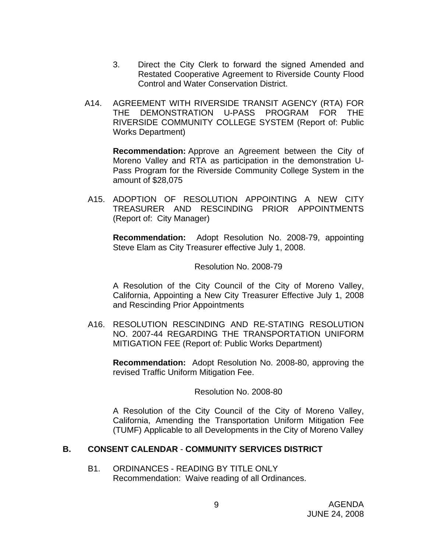- 3. Direct the City Clerk to forward the signed Amended and Restated Cooperative Agreement to Riverside County Flood Control and Water Conservation District.
- A14. AGREEMENT WITH RIVERSIDE TRANSIT AGENCY (RTA) FOR THE DEMONSTRATION U-PASS PROGRAM FOR THE RIVERSIDE COMMUNITY COLLEGE SYSTEM (Report of: Public Works Department)

**Recommendation:** Approve an Agreement between the City of Moreno Valley and RTA as participation in the demonstration U-Pass Program for the Riverside Community College System in the amount of \$28,075

A15. ADOPTION OF RESOLUTION APPOINTING A NEW CITY TREASURER AND RESCINDING PRIOR APPOINTMENTS (Report of: City Manager)

**Recommendation:** Adopt Resolution No. 2008-79, appointing Steve Elam as City Treasurer effective July 1, 2008.

#### Resolution No. 2008-79

A Resolution of the City Council of the City of Moreno Valley, California, Appointing a New City Treasurer Effective July 1, 2008 and Rescinding Prior Appointments

A16. RESOLUTION RESCINDING AND RE-STATING RESOLUTION NO. 2007-44 REGARDING THE TRANSPORTATION UNIFORM MITIGATION FEE (Report of: Public Works Department)

**Recommendation:** Adopt Resolution No. 2008-80, approving the revised Traffic Uniform Mitigation Fee.

#### Resolution No. 2008-80

 A Resolution of the City Council of the City of Moreno Valley, California, Amending the Transportation Uniform Mitigation Fee (TUMF) Applicable to all Developments in the City of Moreno Valley

### **B. CONSENT CALENDAR** - **COMMUNITY SERVICES DISTRICT**

B1. ORDINANCES - READING BY TITLE ONLY Recommendation: Waive reading of all Ordinances.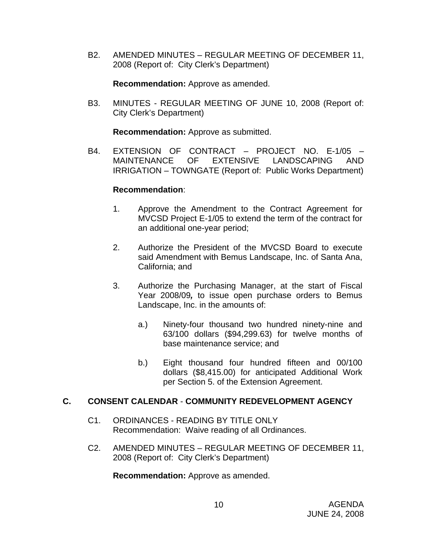B2. AMENDED MINUTES – REGULAR MEETING OF DECEMBER 11, 2008 (Report of: City Clerk's Department)

**Recommendation:** Approve as amended.

B3. MINUTES - REGULAR MEETING OF JUNE 10, 2008 (Report of: City Clerk's Department)

**Recommendation:** Approve as submitted.

B4. EXTENSION OF CONTRACT – PROJECT NO. E-1/05 – MAINTENANCE OF EXTENSIVE LANDSCAPING AND IRRIGATION – TOWNGATE (Report of: Public Works Department)

### **Recommendation**:

- 1. Approve the Amendment to the Contract Agreement for MVCSD Project E-1/05 to extend the term of the contract for an additional one-year period;
- 2. Authorize the President of the MVCSD Board to execute said Amendment with Bemus Landscape, Inc. of Santa Ana, California; and
- 3. Authorize the Purchasing Manager, at the start of Fiscal Year 2008/09*,* to issue open purchase orders to Bemus Landscape, Inc. in the amounts of:
	- a.) Ninety-four thousand two hundred ninety-nine and 63/100 dollars (\$94,299.63) for twelve months of base maintenance service; and
	- b.) Eight thousand four hundred fifteen and 00/100 dollars (\$8,415.00) for anticipated Additional Work per Section 5. of the Extension Agreement.

### **C. CONSENT CALENDAR** - **COMMUNITY REDEVELOPMENT AGENCY**

- C1. ORDINANCES READING BY TITLE ONLY Recommendation: Waive reading of all Ordinances.
- C2. AMENDED MINUTES REGULAR MEETING OF DECEMBER 11, 2008 (Report of: City Clerk's Department)

**Recommendation:** Approve as amended.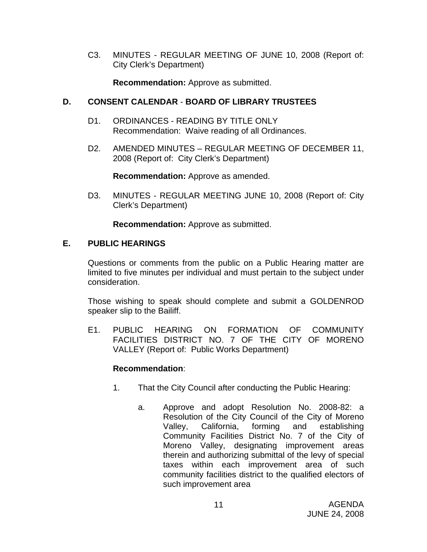C3. MINUTES - REGULAR MEETING OF JUNE 10, 2008 (Report of: City Clerk's Department)

**Recommendation:** Approve as submitted.

### **D. CONSENT CALENDAR** - **BOARD OF LIBRARY TRUSTEES**

- D1. ORDINANCES READING BY TITLE ONLY Recommendation: Waive reading of all Ordinances.
- D2. AMENDED MINUTES REGULAR MEETING OF DECEMBER 11, 2008 (Report of: City Clerk's Department)

**Recommendation:** Approve as amended.

D3. MINUTES - REGULAR MEETING JUNE 10, 2008 (Report of: City Clerk's Department)

**Recommendation:** Approve as submitted.

### **E. PUBLIC HEARINGS**

Questions or comments from the public on a Public Hearing matter are limited to five minutes per individual and must pertain to the subject under consideration.

 Those wishing to speak should complete and submit a GOLDENROD speaker slip to the Bailiff.

E1. PUBLIC HEARING ON FORMATION OF COMMUNITY FACILITIES DISTRICT NO. 7 OF THE CITY OF MORENO VALLEY (Report of: Public Works Department)

- 1. That the City Council after conducting the Public Hearing:
	- a. Approve and adopt Resolution No. 2008-82: a Resolution of the City Council of the City of Moreno Valley, California, forming and establishing Community Facilities District No. 7 of the City of Moreno Valley, designating improvement areas therein and authorizing submittal of the levy of special taxes within each improvement area of such community facilities district to the qualified electors of such improvement area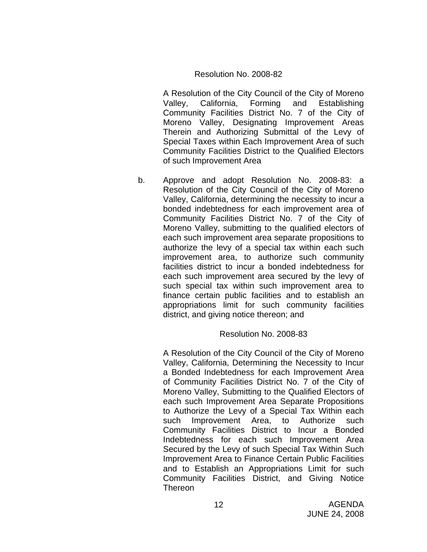### Resolution No. 2008-82

A Resolution of the City Council of the City of Moreno Valley, California, Forming and Establishing Community Facilities District No. 7 of the City of Moreno Valley, Designating Improvement Areas Therein and Authorizing Submittal of the Levy of Special Taxes within Each Improvement Area of such Community Facilities District to the Qualified Electors of such Improvement Area

b. Approve and adopt Resolution No. 2008-83: a Resolution of the City Council of the City of Moreno Valley, California, determining the necessity to incur a bonded indebtedness for each improvement area of Community Facilities District No. 7 of the City of Moreno Valley, submitting to the qualified electors of each such improvement area separate propositions to authorize the levy of a special tax within each such improvement area, to authorize such community facilities district to incur a bonded indebtedness for each such improvement area secured by the levy of such special tax within such improvement area to finance certain public facilities and to establish an appropriations limit for such community facilities district, and giving notice thereon; and

### Resolution No. 2008-83

A Resolution of the City Council of the City of Moreno Valley, California, Determining the Necessity to Incur a Bonded Indebtedness for each Improvement Area of Community Facilities District No. 7 of the City of Moreno Valley, Submitting to the Qualified Electors of each such Improvement Area Separate Propositions to Authorize the Levy of a Special Tax Within each such Improvement Area, to Authorize such Community Facilities District to Incur a Bonded Indebtedness for each such Improvement Area Secured by the Levy of such Special Tax Within Such Improvement Area to Finance Certain Public Facilities and to Establish an Appropriations Limit for such Community Facilities District, and Giving Notice Thereon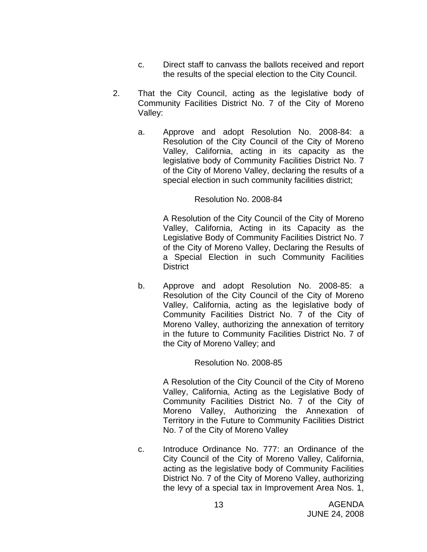- c. Direct staff to canvass the ballots received and report the results of the special election to the City Council.
- 2. That the City Council, acting as the legislative body of Community Facilities District No. 7 of the City of Moreno Valley:
	- a. Approve and adopt Resolution No. 2008-84: a Resolution of the City Council of the City of Moreno Valley, California, acting in its capacity as the legislative body of Community Facilities District No. 7 of the City of Moreno Valley, declaring the results of a special election in such community facilities district;

### Resolution No. 2008-84

A Resolution of the City Council of the City of Moreno Valley, California, Acting in its Capacity as the Legislative Body of Community Facilities District No. 7 of the City of Moreno Valley, Declaring the Results of a Special Election in such Community Facilities **District** 

b. Approve and adopt Resolution No. 2008-85: a Resolution of the City Council of the City of Moreno Valley, California, acting as the legislative body of Community Facilities District No. 7 of the City of Moreno Valley, authorizing the annexation of territory in the future to Community Facilities District No. 7 of the City of Moreno Valley; and

### Resolution No. 2008-85

A Resolution of the City Council of the City of Moreno Valley, California, Acting as the Legislative Body of Community Facilities District No. 7 of the City of Moreno Valley, Authorizing the Annexation of Territory in the Future to Community Facilities District No. 7 of the City of Moreno Valley

c. Introduce Ordinance No. 777: an Ordinance of the City Council of the City of Moreno Valley, California, acting as the legislative body of Community Facilities District No. 7 of the City of Moreno Valley, authorizing the levy of a special tax in Improvement Area Nos. 1,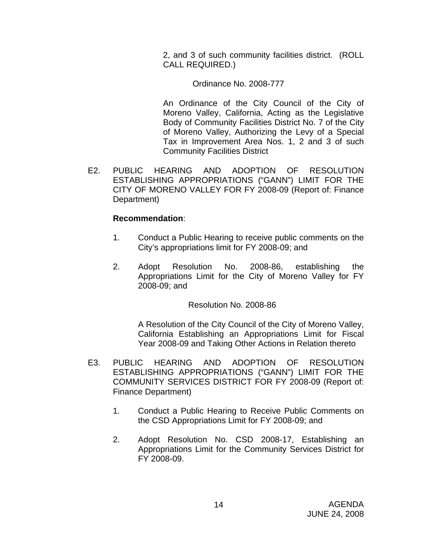2, and 3 of such community facilities district. (ROLL CALL REQUIRED.)

Ordinance No. 2008-777

 An Ordinance of the City Council of the City of Moreno Valley, California, Acting as the Legislative Body of Community Facilities District No. 7 of the City of Moreno Valley, Authorizing the Levy of a Special Tax in Improvement Area Nos. 1, 2 and 3 of such Community Facilities District

E2. PUBLIC HEARING AND ADOPTION OF RESOLUTION ESTABLISHING APPROPRIATIONS ("GANN") LIMIT FOR THE CITY OF MORENO VALLEY FOR FY 2008-09 (Report of: Finance Department)

### **Recommendation**:

- 1. Conduct a Public Hearing to receive public comments on the City's appropriations limit for FY 2008-09; and
- 2. Adopt Resolution No. 2008-86, establishing the Appropriations Limit for the City of Moreno Valley for FY 2008-09; and

Resolution No. 2008-86

A Resolution of the City Council of the City of Moreno Valley, California Establishing an Appropriations Limit for Fiscal Year 2008-09 and Taking Other Actions in Relation thereto

- E3. PUBLIC HEARING AND ADOPTION OF RESOLUTION ESTABLISHING APPROPRIATIONS ("GANN") LIMIT FOR THE COMMUNITY SERVICES DISTRICT FOR FY 2008-09 (Report of: Finance Department)
	- 1. Conduct a Public Hearing to Receive Public Comments on the CSD Appropriations Limit for FY 2008-09; and
	- 2. Adopt Resolution No. CSD 2008-17, Establishing an Appropriations Limit for the Community Services District for FY 2008-09.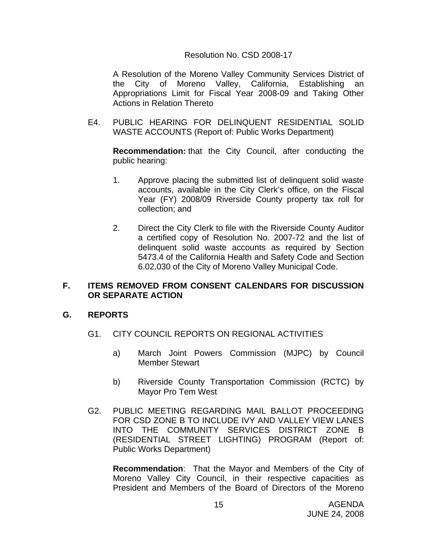### Resolution No. CSD 2008-17

A Resolution of the Moreno Valley Community Services District of the City of Moreno Valley, California, Establishing an Appropriations Limit for Fiscal Year 2008-09 and Taking Other Actions in Relation Thereto

E4. PUBLIC HEARING FOR DELINQUENT RESIDENTIAL SOLID WASTE ACCOUNTS (Report of: Public Works Department)

**Recommendation:** that the City Council, after conducting the public hearing:

- 1. Approve placing the submitted list of delinquent solid waste accounts, available in the City Clerk's office, on the Fiscal Year (FY) 2008/09 Riverside County property tax roll for collection; and
- 2. Direct the City Clerk to file with the Riverside County Auditor a certified copy of Resolution No. 2007-72 and the list of delinquent solid waste accounts as required by Section 5473.4 of the California Health and Safety Code and Section 6.02.030 of the City of Moreno Valley Municipal Code.

### **F. ITEMS REMOVED FROM CONSENT CALENDARS FOR DISCUSSION OR SEPARATE ACTION**

### **G. REPORTS**

- G1. CITY COUNCIL REPORTS ON REGIONAL ACTIVITIES
	- a) March Joint Powers Commission (MJPC) by Council Member Stewart
	- b) Riverside County Transportation Commission (RCTC) by Mayor Pro Tem West
- G2. PUBLIC MEETING REGARDING MAIL BALLOT PROCEEDING FOR CSD ZONE B TO INCLUDE IVY AND VALLEY VIEW LANES INTO THE COMMUNITY SERVICES DISTRICT ZONE B (RESIDENTIAL STREET LIGHTING) PROGRAM (Report of: Public Works Department)

**Recommendation**: That the Mayor and Members of the City of Moreno Valley City Council, in their respective capacities as President and Members of the Board of Directors of the Moreno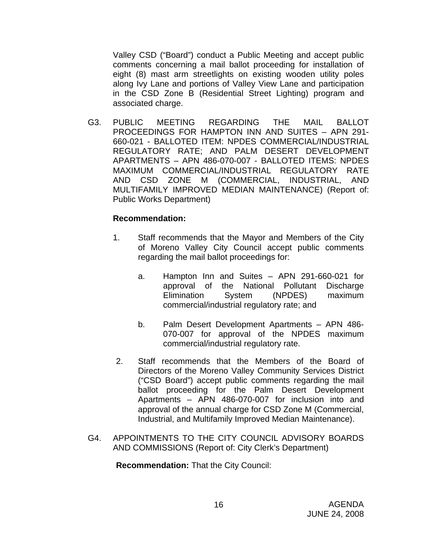Valley CSD ("Board") conduct a Public Meeting and accept public comments concerning a mail ballot proceeding for installation of eight (8) mast arm streetlights on existing wooden utility poles along Ivy Lane and portions of Valley View Lane and participation in the CSD Zone B (Residential Street Lighting) program and associated charge.

G3. PUBLIC MEETING REGARDING THE MAIL BALLOT PROCEEDINGS FOR HAMPTON INN AND SUITES – APN 291- 660-021 - BALLOTED ITEM: NPDES COMMERCIAL/INDUSTRIAL REGULATORY RATE; AND PALM DESERT DEVELOPMENT APARTMENTS – APN 486-070-007 - BALLOTED ITEMS: NPDES MAXIMUM COMMERCIAL/INDUSTRIAL REGULATORY RATE AND CSD ZONE M (COMMERCIAL, INDUSTRIAL, AND MULTIFAMILY IMPROVED MEDIAN MAINTENANCE) (Report of: Public Works Department)

### **Recommendation:**

- 1. Staff recommends that the Mayor and Members of the City of Moreno Valley City Council accept public comments regarding the mail ballot proceedings for:
	- a. Hampton Inn and Suites APN 291-660-021 for approval of the National Pollutant Discharge Elimination System (NPDES) maximum commercial/industrial regulatory rate; and
	- b. Palm Desert Development Apartments APN 486- 070-007 for approval of the NPDES maximum commercial/industrial regulatory rate.
- 2. Staff recommends that the Members of the Board of Directors of the Moreno Valley Community Services District ("CSD Board") accept public comments regarding the mail ballot proceeding for the Palm Desert Development Apartments – APN 486-070-007 for inclusion into and approval of the annual charge for CSD Zone M (Commercial, Industrial, and Multifamily Improved Median Maintenance).
- G4. APPOINTMENTS TO THE CITY COUNCIL ADVISORY BOARDS AND COMMISSIONS (Report of: City Clerk's Department)

**Recommendation:** That the City Council: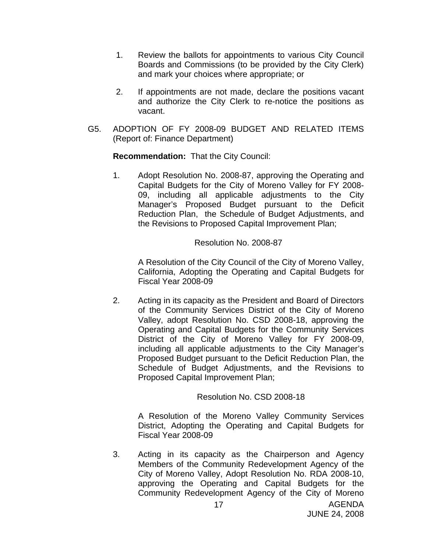- 1. Review the ballots for appointments to various City Council Boards and Commissions (to be provided by the City Clerk) and mark your choices where appropriate; or
- 2. If appointments are not made, declare the positions vacant and authorize the City Clerk to re-notice the positions as vacant.
- G5. ADOPTION OF FY 2008-09 BUDGET AND RELATED ITEMS (Report of: Finance Department)

**Recommendation:** That the City Council:

1. Adopt Resolution No. 2008-87, approving the Operating and Capital Budgets for the City of Moreno Valley for FY 2008- 09, including all applicable adjustments to the City Manager's Proposed Budget pursuant to the Deficit Reduction Plan, the Schedule of Budget Adjustments, and the Revisions to Proposed Capital Improvement Plan;

#### Resolution No. 2008-87

A Resolution of the City Council of the City of Moreno Valley, California, Adopting the Operating and Capital Budgets for Fiscal Year 2008-09

2. Acting in its capacity as the President and Board of Directors of the Community Services District of the City of Moreno Valley, adopt Resolution No. CSD 2008-18, approving the Operating and Capital Budgets for the Community Services District of the City of Moreno Valley for FY 2008-09, including all applicable adjustments to the City Manager's Proposed Budget pursuant to the Deficit Reduction Plan, the Schedule of Budget Adjustments, and the Revisions to Proposed Capital Improvement Plan;

Resolution No. CSD 2008-18

A Resolution of the Moreno Valley Community Services District, Adopting the Operating and Capital Budgets for Fiscal Year 2008-09

3. Acting in its capacity as the Chairperson and Agency Members of the Community Redevelopment Agency of the City of Moreno Valley, Adopt Resolution No. RDA 2008-10, approving the Operating and Capital Budgets for the Community Redevelopment Agency of the City of Moreno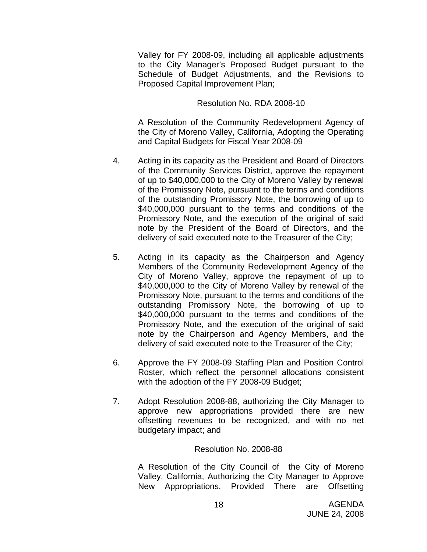Valley for FY 2008-09, including all applicable adjustments to the City Manager's Proposed Budget pursuant to the Schedule of Budget Adjustments, and the Revisions to Proposed Capital Improvement Plan;

Resolution No. RDA 2008-10

A Resolution of the Community Redevelopment Agency of the City of Moreno Valley, California, Adopting the Operating and Capital Budgets for Fiscal Year 2008-09

- 4. Acting in its capacity as the President and Board of Directors of the Community Services District, approve the repayment of up to \$40,000,000 to the City of Moreno Valley by renewal of the Promissory Note, pursuant to the terms and conditions of the outstanding Promissory Note, the borrowing of up to \$40,000,000 pursuant to the terms and conditions of the Promissory Note, and the execution of the original of said note by the President of the Board of Directors, and the delivery of said executed note to the Treasurer of the City;
- 5. Acting in its capacity as the Chairperson and Agency Members of the Community Redevelopment Agency of the City of Moreno Valley, approve the repayment of up to \$40,000,000 to the City of Moreno Valley by renewal of the Promissory Note, pursuant to the terms and conditions of the outstanding Promissory Note, the borrowing of up to \$40,000,000 pursuant to the terms and conditions of the Promissory Note, and the execution of the original of said note by the Chairperson and Agency Members, and the delivery of said executed note to the Treasurer of the City;
- 6. Approve the FY 2008-09 Staffing Plan and Position Control Roster, which reflect the personnel allocations consistent with the adoption of the FY 2008-09 Budget;
- 7. Adopt Resolution 2008-88, authorizing the City Manager to approve new appropriations provided there are new offsetting revenues to be recognized, and with no net budgetary impact; and

#### Resolution No. 2008-88

A Resolution of the City Council of the City of Moreno Valley, California, Authorizing the City Manager to Approve New Appropriations, Provided There are Offsetting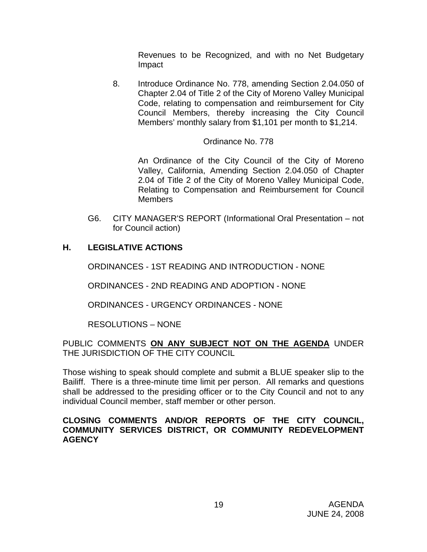Revenues to be Recognized, and with no Net Budgetary Impact

8. Introduce Ordinance No. 778, amending Section 2.04.050 of Chapter 2.04 of Title 2 of the City of Moreno Valley Municipal Code, relating to compensation and reimbursement for City Council Members, thereby increasing the City Council Members' monthly salary from \$1,101 per month to \$1,214.

### Ordinance No. 778

An Ordinance of the City Council of the City of Moreno Valley, California, Amending Section 2.04.050 of Chapter 2.04 of Title 2 of the City of Moreno Valley Municipal Code, Relating to Compensation and Reimbursement for Council **Members** 

G6. CITY MANAGER'S REPORT (Informational Oral Presentation – not for Council action)

### **H. LEGISLATIVE ACTIONS**

ORDINANCES - 1ST READING AND INTRODUCTION - NONE

ORDINANCES - 2ND READING AND ADOPTION - NONE

ORDINANCES - URGENCY ORDINANCES - NONE

RESOLUTIONS – NONE

### PUBLIC COMMENTS **ON ANY SUBJECT NOT ON THE AGENDA** UNDER THE JURISDICTION OF THE CITY COUNCIL

Those wishing to speak should complete and submit a BLUE speaker slip to the Bailiff. There is a three-minute time limit per person. All remarks and questions shall be addressed to the presiding officer or to the City Council and not to any individual Council member, staff member or other person.

### **CLOSING COMMENTS AND/OR REPORTS OF THE CITY COUNCIL, COMMUNITY SERVICES DISTRICT, OR COMMUNITY REDEVELOPMENT AGENCY**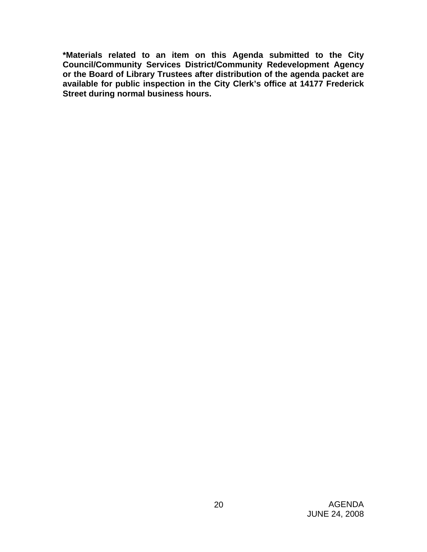**\*Materials related to an item on this Agenda submitted to the City Council/Community Services District/Community Redevelopment Agency or the Board of Library Trustees after distribution of the agenda packet are available for public inspection in the City Clerk's office at 14177 Frederick Street during normal business hours.**